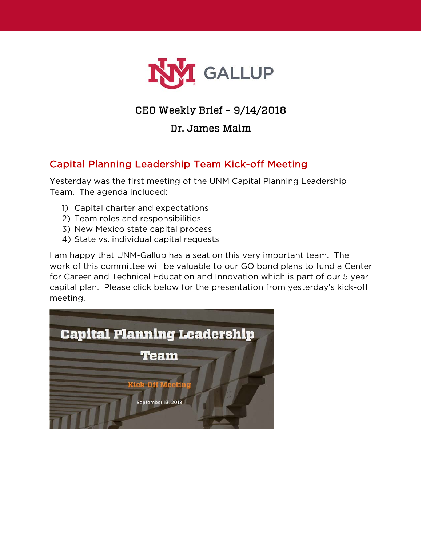

# CEO Weekly Brief – 9/14/2018

## Dr. James Malm

# Capital Planning Leadership Team Kick-off Meeting

Yesterday was the first meeting of the UNM Capital Planning Leadership Team. The agenda included:

- 1) Capital charter and expectations
- 2) Team roles and responsibilities
- 3) New Mexico state capital process
- 4) State vs. individual capital requests

I am happy that UNM-Gallup has a seat on this very important team. The work of this committee will be valuable to our GO bond plans to fund a Center for Career and Technical Education and Innovation which is part of our 5 year capital plan. Please click below for the presentation from yesterday's kick-off meeting.

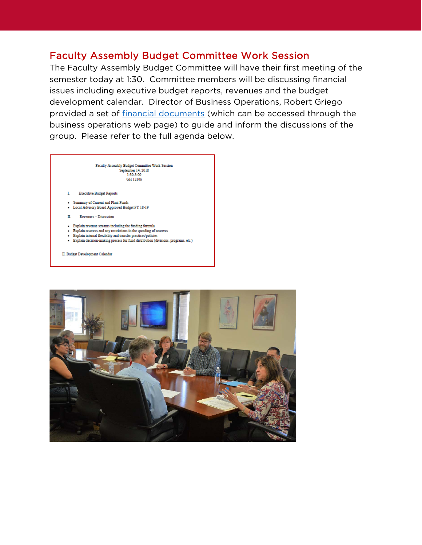### **Faculty Assembly Budget Committee Work Session**

The Faculty Assembly Budget Committee will have their first meeting of the semester today at 1:30. Committee members will be discussing financial issues including executive budget reports, revenues and the budget development calendar. Director of Business Operations, Robert Griego provided a set of financial documents (which can be accessed through the business operations web page) to guide and inform the discussions of the group. Please refer to the full agenda below.

> Faculty Assembly Budget Committee Work Session September 14, 2018<br>1:30-3:00 GH 1216a

- **Executive Budget Reports** L.
- Summary of Current and Plant Funds - Local Advisory Board Approved Budget FY 18-19
- 
- Revenues Discussion п.
- Explain revenue streams including the funding formula
- Explain reserves and any restrictions in the spending of reserves
- Explain internal flexibility and transfer practices/policies - Explain decision-making process for fund distribution (divisions, programs, etc.)
- $\Pi.$  Budget Development Calendar

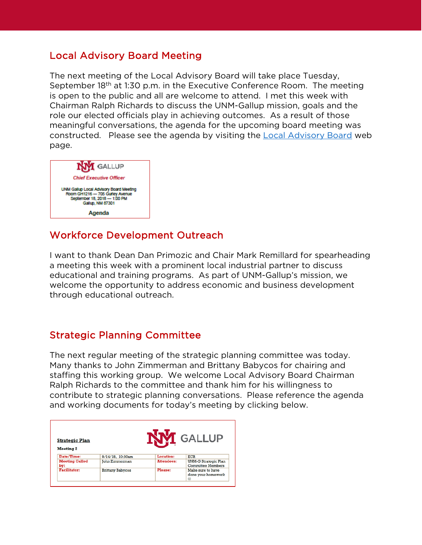### Local Advisory Board Meeting

The next meeting of the Local Advisory Board will take place Tuesday, September 18<sup>th</sup> at 1:30 p.m. in the Executive Conference Room. The meeting is open to the public and all are welcome to attend. I met this week with Chairman Ralph Richards to discuss the UNM-Gallup mission, goals and the role our elected officials play in achieving outcomes. As a result of those meaningful conversations, the agenda for the upcoming board meeting was constructed. Please see the agenda by visiting the [Local Advisory Board](https://www.gallup.unm.edu/administration/localboard/) web page.



## Workforce Development Outreach

I want to thank Dean Dan Primozic and Chair Mark Remillard for spearheading a meeting this week with a prominent local industrial partner to discuss educational and training programs. As part of UNM-Gallup's mission, we welcome the opportunity to address economic and business development through educational outreach.

### Strategic Planning Committee

The next regular meeting of the strategic planning committee was today. Many thanks to John Zimmerman and Brittany Babycos for chairing and staffing this working group. We welcome Local Advisory Board Chairman Ralph Richards to the committee and thank him for his willingness to contribute to strategic planning conversations. Please reference the agenda and working documents for today's meeting by clicking below.

| <b>Strategic Plan</b><br><b>Meeting 2</b> | <b>GALLUP</b>           |                   |                                                  |
|-------------------------------------------|-------------------------|-------------------|--------------------------------------------------|
| Date/Time:                                | 9/14/18, 10:30am        | Location:         | <b>ECR</b>                                       |
| <b>Meeting Called</b><br>by:              | <b>John Zimmerman</b>   | <b>Attendees:</b> | UNM-G Strategic Plan<br><b>Committee Members</b> |
| <b>Facilitator:</b>                       | <b>Brittany Babycos</b> | Please:           | Make sure to have<br>done your homework<br>œ     |